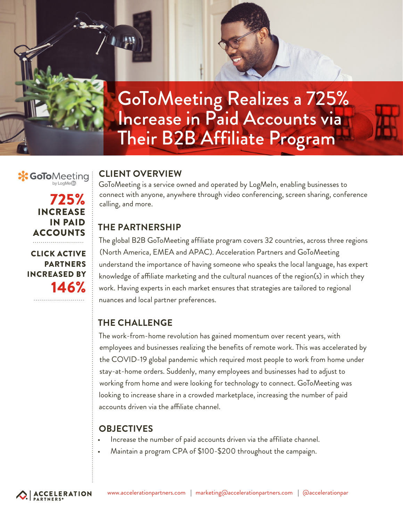GoToMeeting Realizes a 725% Increase in Paid Accounts via Their B2B Affiliate Program

#### **CLIENT OVERVIEW X GoTo**Meeting

725%

INCREASE IN PAID

**ACCOUNTS** 

CLICK ACTIVE PARTNERS

INCREASED BY

146%

GoToMeeting is a service owned and operated by LogMeIn, enabling businesses to connect with anyone, anywhere through video conferencing, screen sharing, conference calling, and more.

# **THE PARTNERSHIP**

The global B2B GoToMeeting affiliate program covers 32 countries, across three regions (North America, EMEA and APAC). Acceleration Partners and GoToMeeting understand the importance of having someone who speaks the local language, has expert knowledge of afliate marketing and the cultural nuances of the region(s) in which they work. Having experts in each market ensures that strategies are tailored to regional nuances and local partner preferences.

# **THE CHALLENGE**

The work-from-home revolution has gained momentum over recent years, with employees and businesses realizing the benefits of remote work. This was accelerated by the COVID-19 global pandemic which required most people to work from home under stay-at-home orders. Suddenly, many employees and businesses had to adjust to working from home and were looking for technology to connect. GoToMeeting was looking to increase share in a crowded marketplace, increasing the number of paid accounts driven via the affiliate channel.

### **OBJECTIVES**

- Increase the number of paid accounts driven via the affiliate channel.
- Maintain a program CPA of \$100-\$200 throughout the campaign.